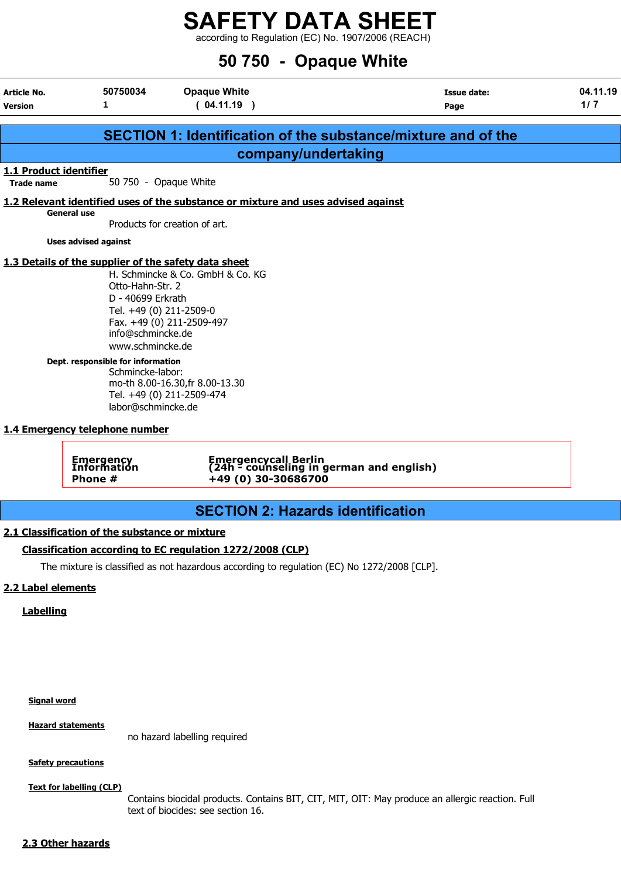according to Regulation (EC) No. 1907/2006 (REACH)

## 50 750 - Opaque White

| Article No.<br><b>Version</b>               | 50750034<br>1                                                                                                                                                                                                                                                                                                             | <b>Opaque White</b><br>(04.11.19)                                                                                                                    | Issue date:<br>Page                                                                         | 04.11.19<br>1/7 |
|---------------------------------------------|---------------------------------------------------------------------------------------------------------------------------------------------------------------------------------------------------------------------------------------------------------------------------------------------------------------------------|------------------------------------------------------------------------------------------------------------------------------------------------------|---------------------------------------------------------------------------------------------|-----------------|
|                                             |                                                                                                                                                                                                                                                                                                                           |                                                                                                                                                      | <b>SECTION 1: Identification of the substance/mixture and of the</b>                        |                 |
|                                             |                                                                                                                                                                                                                                                                                                                           |                                                                                                                                                      | company/undertaking                                                                         |                 |
| 1.1 Product identifier<br><b>Trade name</b> | 50 750 - Opaque White                                                                                                                                                                                                                                                                                                     |                                                                                                                                                      |                                                                                             |                 |
|                                             |                                                                                                                                                                                                                                                                                                                           |                                                                                                                                                      | 1.2 Relevant identified uses of the substance or mixture and uses advised against           |                 |
|                                             | <b>General use</b>                                                                                                                                                                                                                                                                                                        | Products for creation of art.                                                                                                                        |                                                                                             |                 |
|                                             | <b>Uses advised against</b>                                                                                                                                                                                                                                                                                               |                                                                                                                                                      |                                                                                             |                 |
|                                             | 1.3 Details of the supplier of the safety data sheet<br>Otto-Hahn-Str. 2<br>D - 40699 Erkrath<br>Tel. +49 (0) 211-2509-0<br>info@schmincke.de<br>www.schmincke.de<br>Dept. responsible for information<br>Schmincke-labor:<br>labor@schmincke.de<br>1.4 Emergency telephone number<br>Emergency<br>Information<br>Phone # | H. Schmincke & Co. GmbH & Co. KG<br>Fax. +49 (0) 211-2509-497<br>mo-th 8.00-16.30, fr 8.00-13.30<br>Tel. +49 (0) 211-2509-474<br>+49 (0) 30-30686700 | Emergencycall Berlin<br>(24h - counseling in german and english)                            |                 |
|                                             |                                                                                                                                                                                                                                                                                                                           |                                                                                                                                                      | <b>SECTION 2: Hazards identification</b>                                                    |                 |
| 2.2 Label elements<br><b>Labelling</b>      | 2.1 Classification of the substance or mixture                                                                                                                                                                                                                                                                            | Classification according to EC regulation 1272/2008 (CLP)                                                                                            | The mixture is classified as not hazardous according to regulation (EC) No 1272/2008 [CLP]. |                 |

Signal word

Hazard statements

no hazard labelling required

**Safety precautions** 

Text for labelling (CLP)

Contains biocidal products. Contains BIT, CIT, MIT, OIT: May produce an allergic reaction. Full text of biocides: see section 16.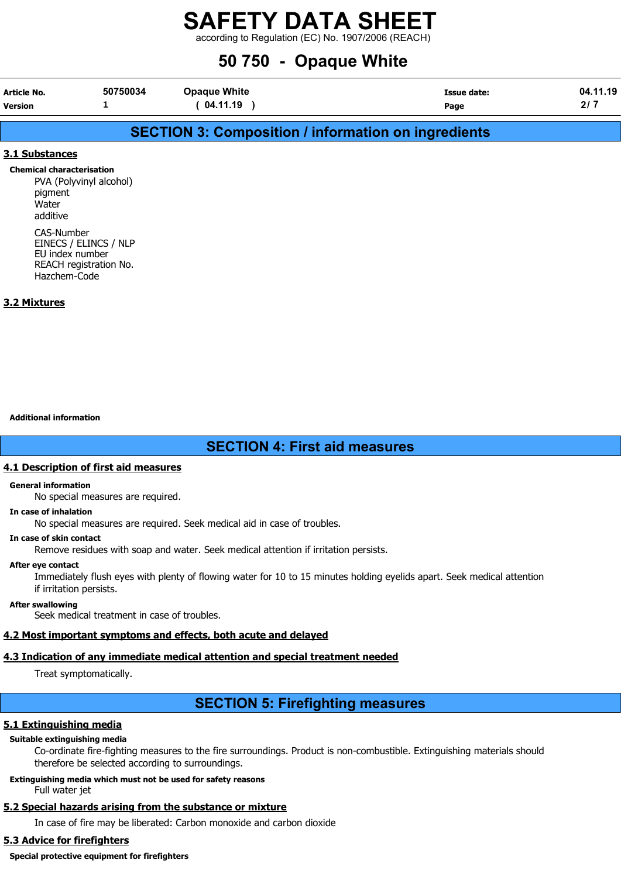according to Regulation (EC) No. 1907/2006 (REACH)

## 50 750 - Opaque White

| Article No. | 50750034 | <b>Opaque White</b> | <b>Issue date:</b> | 04.11.19 |
|-------------|----------|---------------------|--------------------|----------|
| Version     |          | 04.11.19            | Page               | n i      |

## SECTION 3: Composition / information on ingredients

## 3.1 Substances

Chemical characterisation PVA (Polyvinyl alcohol) pigment Water additive CAS-Number EINECS / ELINCS / NLP

EU index number REACH registration No. Hazchem-Code

## 3.2 Mixtures

## Additional information

## SECTION 4: First aid measures

## 4.1 Description of first aid measures

#### General information

No special measures are required.

#### In case of inhalation

No special measures are required. Seek medical aid in case of troubles.

#### In case of skin contact

Remove residues with soap and water. Seek medical attention if irritation persists.

#### After eye contact

Immediately flush eyes with plenty of flowing water for 10 to 15 minutes holding eyelids apart. Seek medical attention if irritation persists.

## After swallowing

Seek medical treatment in case of troubles.

## 4.2 Most important symptoms and effects, both acute and delayed

## 4.3 Indication of any immediate medical attention and special treatment needed

Treat symptomatically.

## SECTION 5: Firefighting measures

## 5.1 Extinguishing media

## Suitable extinguishing media

Co-ordinate fire-fighting measures to the fire surroundings. Product is non-combustible. Extinguishing materials should therefore be selected according to surroundings.

## Extinguishing media which must not be used for safety reasons

Full water jet

## 5.2 Special hazards arising from the substance or mixture

In case of fire may be liberated: Carbon monoxide and carbon dioxide

## 5.3 Advice for firefighters

Special protective equipment for firefighters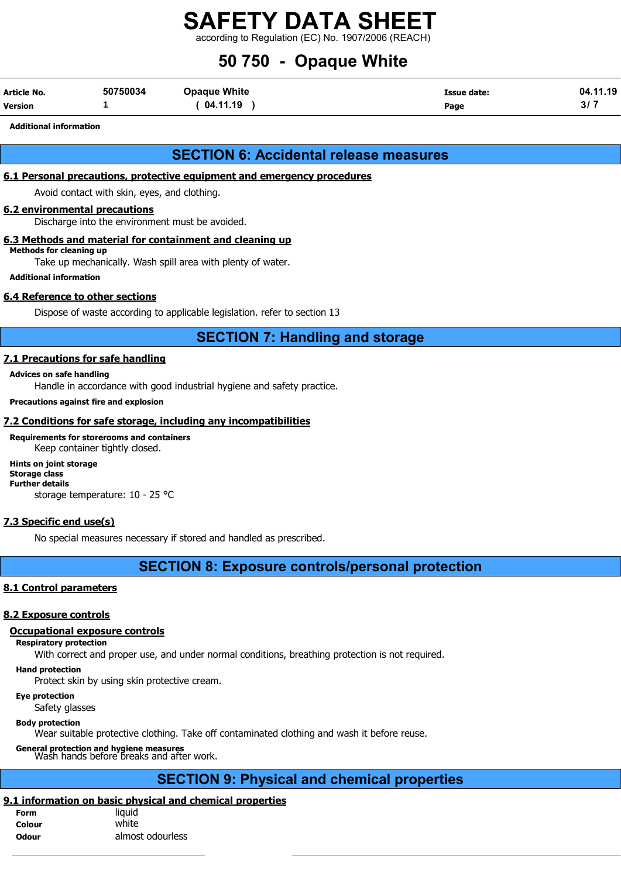according to Regulation (EC) No. 1907/2006 (REACH)

## 50 750 - Opaque White

| Article No.    | 50750034 | <b>Opaque White</b> | Issue date: | 04.11.19 |
|----------------|----------|---------------------|-------------|----------|
| <b>Version</b> |          | 04.11.19            | Page        | .<br>o,  |

#### Additional information

## SECTION 6: Accidental release measures

## 6.1 Personal precautions, protective equipment and emergency procedures

Avoid contact with skin, eyes, and clothing.

### 6.2 environmental precautions

Discharge into the environment must be avoided.

### 6.3 Methods and material for containment and cleaning up

Methods for cleaning up

Take up mechanically. Wash spill area with plenty of water.

#### Additional information

## 6.4 Reference to other sections

Dispose of waste according to applicable legislation. refer to section 13

## SECTION 7: Handling and storage

### 7.1 Precautions for safe handling

#### Advices on safe handling

Handle in accordance with good industrial hygiene and safety practice.

#### Precautions against fire and explosion

### 7.2 Conditions for safe storage, including any incompatibilities

Requirements for storerooms and containers Keep container tightly closed.

## Hints on joint storage

Storage class Further details

storage temperature: 10 - 25 °C

## 7.3 Specific end use(s)

No special measures necessary if stored and handled as prescribed.

## SECTION 8: Exposure controls/personal protection

## 8.1 Control parameters

#### 8.2 Exposure controls

### Occupational exposure controls

Respiratory protection

With correct and proper use, and under normal conditions, breathing protection is not required.

### Hand protection

Protect skin by using skin protective cream.

## Eye protection

Safety glasses

## Body protection

Wear suitable protective clothing. Take off contaminated clothing and wash it before reuse.

General protection and hygiene measures Wash hands before breaks and after work.

## SECTION 9: Physical and chemical properties

## 9.1 information on basic physical and chemical properties

| <b>Form</b>  | liquid           |
|--------------|------------------|
| Colour       | white            |
| <b>Odour</b> | almost odourless |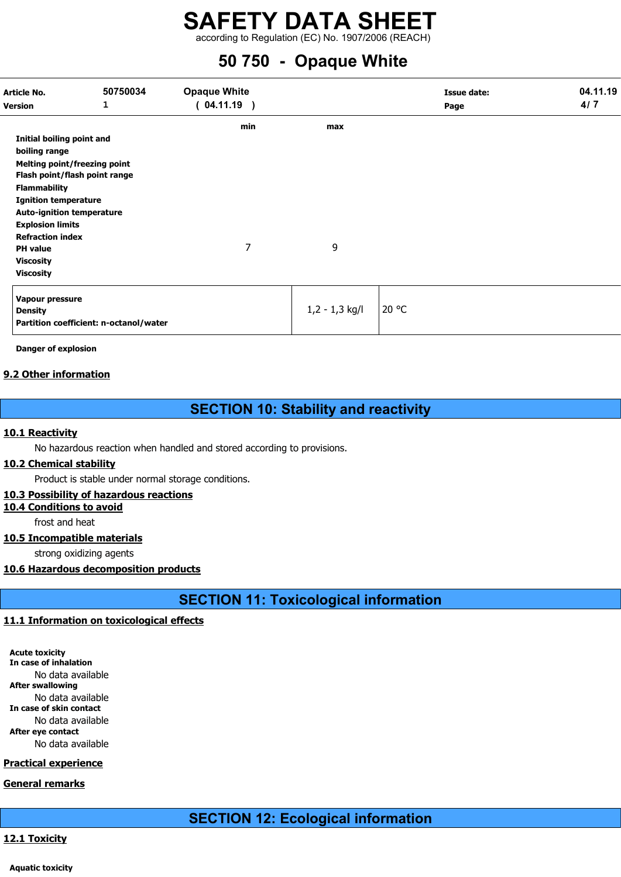according to Regulation (EC) No. 1907/2006 (REACH)

## 50 750 - Opaque White

| Article No.<br><b>Version</b>       | 50750034<br>1                          | <b>Opaque White</b><br>(04.11.19) |                  | Issue date:<br>Page | 04.11.19<br>4/7 |
|-------------------------------------|----------------------------------------|-----------------------------------|------------------|---------------------|-----------------|
|                                     |                                        | min                               | max              |                     |                 |
| Initial boiling point and           |                                        |                                   |                  |                     |                 |
| boiling range                       |                                        |                                   |                  |                     |                 |
| <b>Melting point/freezing point</b> |                                        |                                   |                  |                     |                 |
| Flash point/flash point range       |                                        |                                   |                  |                     |                 |
| <b>Flammability</b>                 |                                        |                                   |                  |                     |                 |
| <b>Ignition temperature</b>         |                                        |                                   |                  |                     |                 |
| <b>Auto-ignition temperature</b>    |                                        |                                   |                  |                     |                 |
| <b>Explosion limits</b>             |                                        |                                   |                  |                     |                 |
| <b>Refraction index</b>             |                                        |                                   |                  |                     |                 |
| <b>PH</b> value                     |                                        | 7                                 | 9                |                     |                 |
| <b>Viscosity</b>                    |                                        |                                   |                  |                     |                 |
| <b>Viscosity</b>                    |                                        |                                   |                  |                     |                 |
| Vapour pressure                     |                                        |                                   |                  |                     |                 |
| <b>Density</b>                      |                                        |                                   | $1,2 - 1,3$ kg/l | 20 °C               |                 |
|                                     | Partition coefficient: n-octanol/water |                                   |                  |                     |                 |

Danger of explosion

## 9.2 Other information

## SECTION 10: Stability and reactivity

## 10.1 Reactivity

No hazardous reaction when handled and stored according to provisions.

## 10.2 Chemical stability

Product is stable under normal storage conditions.

## 10.3 Possibility of hazardous reactions

10.4 Conditions to avoid

frost and heat

## 10.5 Incompatible materials

strong oxidizing agents

## 10.6 Hazardous decomposition products

SECTION 11: Toxicological information

## 11.1 Information on toxicological effects

Acute toxicity In case of inhalation No data available After swallowing No data available In case of skin contact No data available After eye contact No data available

## Practical experience

General remarks

## SECTION 12: Ecological information

## 12.1 Toxicity

Aquatic toxicity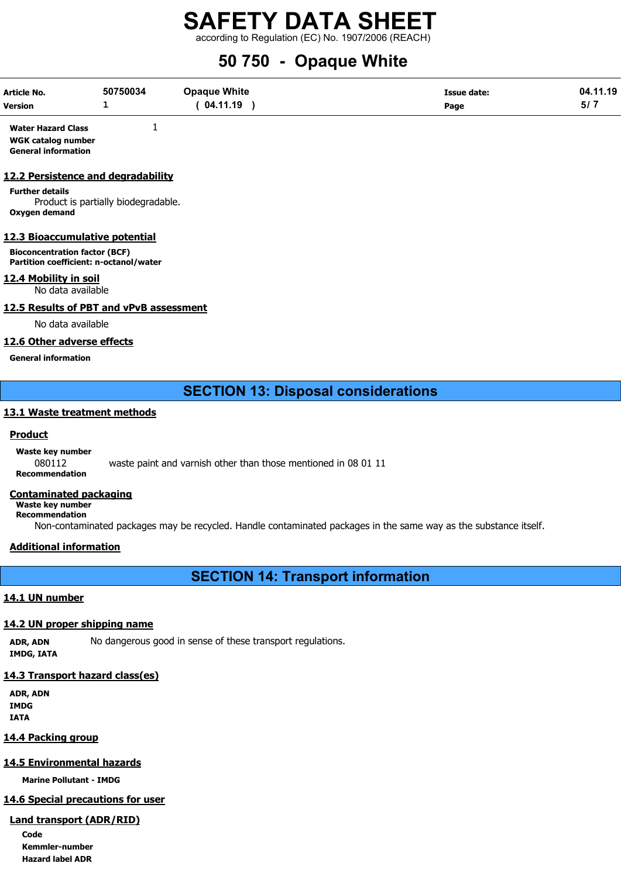according to Regulation (EC) No. 1907/2006 (REACH)

# 50 750 - Opaque White

| Article No.    | 50750034                 | <b>Opaque White</b> | <b>Issue date:</b> | 04.11.19 |
|----------------|--------------------------|---------------------|--------------------|----------|
| <b>Version</b> | $\overline{\phantom{a}}$ | 04.11.19            | Page               |          |

Water Hazard Class 1 WGK catalog number General information

### 12.2 Persistence and degradability

Further details Product is partially biodegradable. Oxygen demand

### 12.3 Bioaccumulative potential

Bioconcentration factor (BCF) Partition coefficient: n-octanol/water

## 12.4 Mobility in soil

No data available

## 12.5 Results of PBT and vPvB assessment

No data available

## 12.6 Other adverse effects

General information

## SECTION 13: Disposal considerations

### 13.1 Waste treatment methods

## **Product**

Waste key number

080112 waste paint and varnish other than those mentioned in 08 01 11 Recommendation

## Contaminated packaging

Waste key number Recommendation

Non-contaminated packages may be recycled. Handle contaminated packages in the same way as the substance itself.

## Additional information

SECTION 14: Transport information

## 14.1 UN number

## 14.2 UN proper shipping name

ADR, ADN No dangerous good in sense of these transport regulations. IMDG, IATA

## 14.3 Transport hazard class(es)

ADR, ADN IMDG IATA

## 14.4 Packing group

## 14.5 Environmental hazards

Marine Pollutant - IMDG

## 14.6 Special precautions for user

## Land transport (ADR/RID)

Code Kemmler-number Hazard label ADR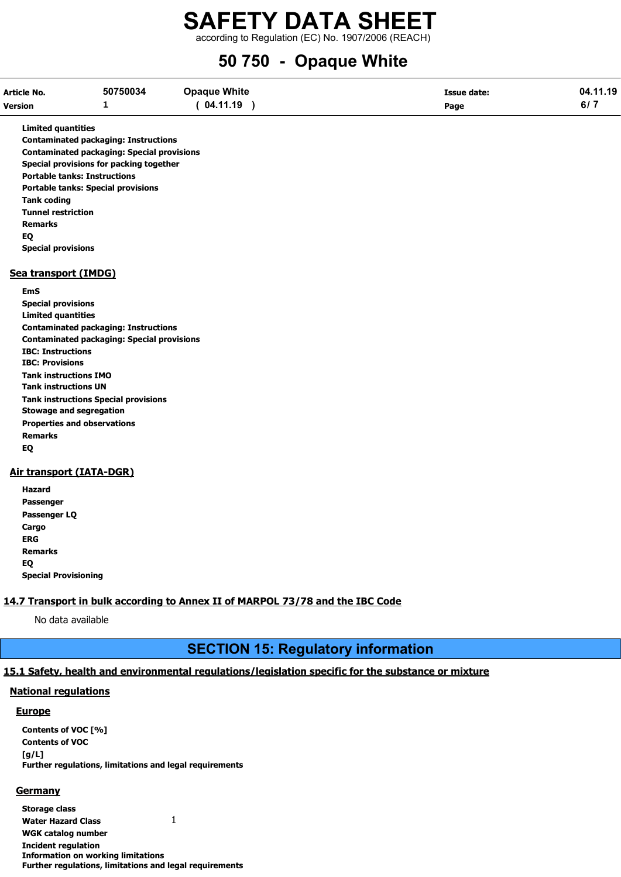according to Regulation (EC) No. 1907/2006 (REACH)

## 50 750 - Opaque White

| Article No.    | 50750034 | <b>Opaque White</b> | <b>Issue date:</b> | 04.11.19 |
|----------------|----------|---------------------|--------------------|----------|
| <b>Version</b> | -        | 04.11.19            | Page               | 011      |

Limited quantities

Contaminated packaging: Instructions Contaminated packaging: Special provisions Special provisions for packing together Portable tanks: Instructions Portable tanks: Special provisions Tank coding Tunnel restriction Remarks EQ Special provisions

### Sea transport (IMDG)

EmS Special provisions Limited quantities Contaminated packaging: Instructions Contaminated packaging: Special provisions IBC: Instructions IBC: Provisions Tank instructions IMO Tank instructions UN Tank instructions Special provisions Stowage and segregation Properties and observations Remarks EQ

## Air transport (IATA-DGR)

Hazard Passenger Passenger LQ **Cargo** ERG Remarks EQ Special Provisioning

## 14.7 Transport in bulk according to Annex II of MARPOL 73/78 and the IBC Code

No data available

## SECTION 15: Regulatory information

## 15.1 Safety, health and environmental regulations/legislation specific for the substance or mixture

## National regulations

## **Europe**

Contents of VOC [%] Contents of VOC  $[a/L]$ Further regulations, limitations and legal requirements

## **Germany**

Storage class

Water Hazard Class 1

WGK catalog number

Incident regulation Information on working limitations Further regulations, limitations and legal requirements